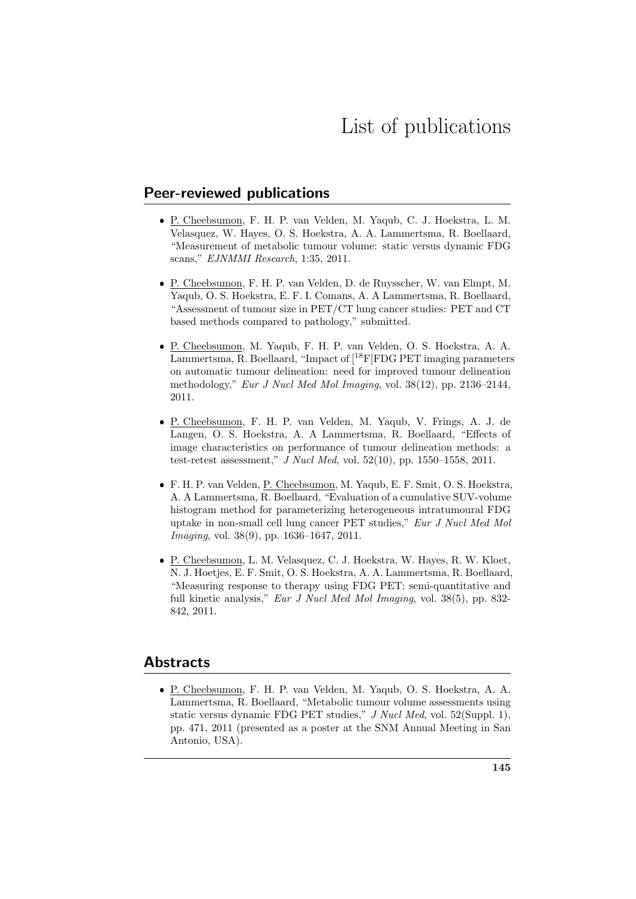## Peer-reviewed publications

- P. Cheebsumon, F. H. P. van Velden, M. Yaqub, C. J. Hoekstra, L. M. Velasquez, W. Hayes, O. S. Hoekstra, A. A. Lammertsma, R. Boellaard, "Measurement of metabolic tumour volume: static versus dynamic FDG scans," EJNMMI Research, 1:35, 2011.
- P. Cheebsumon, F. H. P. van Velden, D. de Ruysscher, W. van Elmpt, M. Yaqub, O. S. Hoekstra, E. F. I. Comans, A. A Lammertsma, R. Boellaard, "Assessment of tumour size in PET/CT lung cancer studies: PET and CT based methods compared to pathology," submitted.
- P. Cheebsumon, M. Yaqub, F. H. P. van Velden, O. S. Hoekstra, A. A. Lammertsma, R. Boellaard, "Impact of  $[{}^{18}F]FDG$  PET imaging parameters on automatic tumour delineation: need for improved tumour delineation methodology," Eur J Nucl Med Mol Imaging, vol. 38(12), pp. 2136–2144, 2011.
- P. Cheebsumon, F. H. P. van Velden, M. Yaqub, V. Frings, A. J. de Langen, O. S. Hoekstra, A. A Lammertsma, R. Boellaard, "Effects of image characteristics on performance of tumour delineation methods: a test-retest assessment," J Nucl Med, vol. 52(10), pp. 1550–1558, 2011.
- F. H. P. van Velden, P. Cheebsumon, M. Yaqub, E. F. Smit, O. S. Hoekstra, A. A Lammertsma, R. Boellaard, "Evaluation of a cumulative SUV-volume histogram method for parameterizing heterogeneous intratumoural FDG uptake in non-small cell lung cancer PET studies," Eur J Nucl Med Mol Imaging, vol. 38(9), pp. 1636–1647, 2011.
- P. Cheebsumon, L. M. Velasquez, C. J. Hoekstra, W. Hayes, R. W. Kloet, N. J. Hoetjes, E. F. Smit, O. S. Hoekstra, A. A. Lammertsma, R. Boellaard, "Measuring response to therapy using FDG PET: semi-quantitative and full kinetic analysis," Eur J Nucl Med Mol Imaging, vol. 38(5), pp. 832- 842, 2011.

## Abstracts

 P. Cheebsumon, F. H. P. van Velden, M. Yaqub, O. S. Hoekstra, A. A. Lammertsma, R. Boellaard, "Metabolic tumour volume assessments using static versus dynamic FDG PET studies," J Nucl Med, vol. 52(Suppl. 1), pp. 471, 2011 (presented as a poster at the SNM Annual Meeting in San Antonio, USA).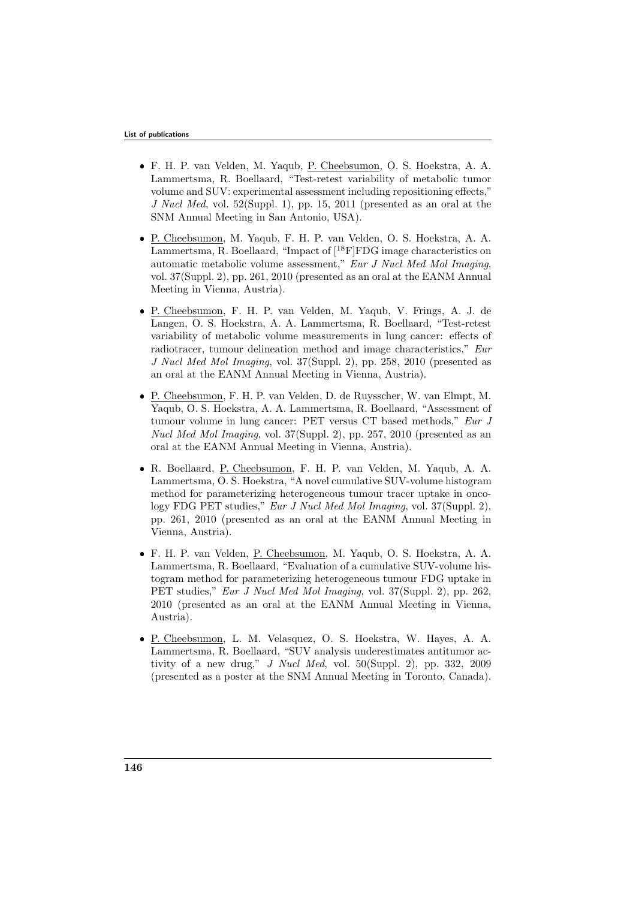- F. H. P. van Velden, M. Yaqub, P. Cheebsumon, O. S. Hoekstra, A. A. Lammertsma, R. Boellaard, "Test-retest variability of metabolic tumor volume and SUV: experimental assessment including repositioning effects," J Nucl Med, vol. 52(Suppl. 1), pp. 15, 2011 (presented as an oral at the SNM Annual Meeting in San Antonio, USA).
- P. Cheebsumon, M. Yaqub, F. H. P. van Velden, O. S. Hoekstra, A. A. Lammertsma, R. Boellaard, "Impact of  $[$ <sup>18</sup>F|FDG image characteristics on automatic metabolic volume assessment," Eur J Nucl Med Mol Imaging, vol. 37(Suppl. 2), pp. 261, 2010 (presented as an oral at the EANM Annual Meeting in Vienna, Austria).
- P. Cheebsumon, F. H. P. van Velden, M. Yaqub, V. Frings, A. J. de Langen, O. S. Hoekstra, A. A. Lammertsma, R. Boellaard, "Test-retest variability of metabolic volume measurements in lung cancer: effects of radiotracer, tumour delineation method and image characteristics," Eur J Nucl Med Mol Imaging, vol. 37(Suppl. 2), pp. 258, 2010 (presented as an oral at the EANM Annual Meeting in Vienna, Austria).
- P. Cheebsumon, F. H. P. van Velden, D. de Ruysscher, W. van Elmpt, M. Yaqub, O. S. Hoekstra, A. A. Lammertsma, R. Boellaard, "Assessment of tumour volume in lung cancer: PET versus CT based methods," Eur J Nucl Med Mol Imaging, vol. 37(Suppl. 2), pp. 257, 2010 (presented as an oral at the EANM Annual Meeting in Vienna, Austria).
- R. Boellaard, P. Cheebsumon, F. H. P. van Velden, M. Yaqub, A. A. Lammertsma, O. S. Hoekstra, "A novel cumulative SUV-volume histogram method for parameterizing heterogeneous tumour tracer uptake in oncology FDG PET studies," Eur J Nucl Med Mol Imaging, vol. 37(Suppl. 2), pp. 261, 2010 (presented as an oral at the EANM Annual Meeting in Vienna, Austria).
- F. H. P. van Velden, P. Cheebsumon, M. Yaqub, O. S. Hoekstra, A. A. Lammertsma, R. Boellaard, "Evaluation of a cumulative SUV-volume histogram method for parameterizing heterogeneous tumour FDG uptake in PET studies," Eur J Nucl Med Mol Imaging, vol. 37(Suppl. 2), pp. 262, 2010 (presented as an oral at the EANM Annual Meeting in Vienna, Austria).
- P. Cheebsumon, L. M. Velasquez, O. S. Hoekstra, W. Hayes, A. A. Lammertsma, R. Boellaard, "SUV analysis underestimates antitumor activity of a new drug," J Nucl Med, vol. 50(Suppl. 2), pp. 332, 2009 (presented as a poster at the SNM Annual Meeting in Toronto, Canada).